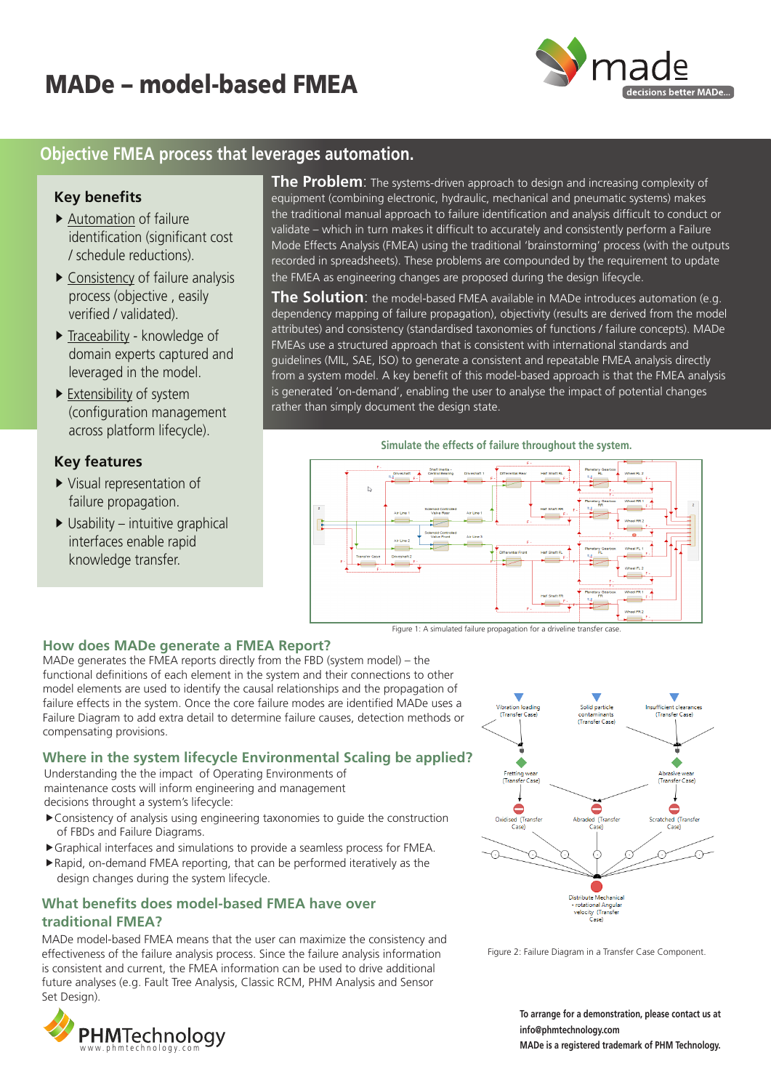# MADe – model-based FMEA



## **Objective FMEA process that leverages automation.**

#### **Key benefits**

- Automation of failure identification (significant cost / schedule reductions).
- Consistency of failure analysis process (objective , easily verified / validated).
- Traceability knowledge of domain experts captured and leveraged in the model.
- $\blacktriangleright$  Extensibility of system (configuration management across platform lifecycle).

### **Key features**

- Visual representation of failure propagation.
- $\triangleright$  Usability intuitive graphical interfaces enable rapid knowledge transfer.

**The Problem**: The systems-driven approach to design and increasing complexity of equipment (combining electronic, hydraulic, mechanical and pneumatic systems) makes the traditional manual approach to failure identification and analysis difficult to conduct or validate – which in turn makes it difficult to accurately and consistently perform a Failure Mode Effects Analysis (FMEA) using the traditional 'brainstorming' process (with the outputs recorded in spreadsheets). These problems are compounded by the requirement to update the FMEA as engineering changes are proposed during the design lifecycle.

**The Solution**: the model-based FMEA available in MADe introduces automation (e.g. dependency mapping of failure propagation), objectivity (results are derived from the model attributes) and consistency (standardised taxonomies of functions / failure concepts). MADe FMEAs use a structured approach that is consistent with international standards and guidelines (MIL, SAE, ISO) to generate a consistent and repeatable FMEA analysis directly from a system model. A key benefit of this model-based approach is that the FMEA analysis is generated 'on-demand', enabling the user to analyse the impact of potential changes rather than simply document the design state.

#### **Simulate the effects of failure throughout the system.**



Figure 1: A simulated failure propagation for a driveline transfer case

#### **How does MADe generate a FMEA Report?**

MADe generates the FMEA reports directly from the FBD (system model) – the functional definitions of each element in the system and their connections to other model elements are used to identify the causal relationships and the propagation of failure effects in the system. Once the core failure modes are identified MADe uses a Failure Diagram to add extra detail to determine failure causes, detection methods or compensating provisions.

#### **Where in the system lifecycle Environmental Scaling be applied?**

Understanding the the impact of Operating Environments of maintenance costs will inform engineering and management decisions throught a system's lifecycle:

- Consistency of analysis using engineering taxonomies to guide the construction of FBDs and Failure Diagrams.
- Graphical interfaces and simulations to provide a seamless process for FMEA.
- Rapid, on-demand FMEA reporting, that can be performed iteratively as the design changes during the system lifecycle.

### **What benefits does model-based FMEA have over traditional FMEA?**

MADe model-based FMEA means that the user can maximize the consistency and effectiveness of the failure analysis process. Since the failure analysis information is consistent and current, the FMEA information can be used to drive additional future analyses (e.g. Fault Tree Analysis, Classic RCM, PHM Analysis and Sensor Set Design).





Figure 2: Failure Diagram in a Transfer Case Component.

**To arrange for a demonstration, please contact us at info@phmtechnology.com**